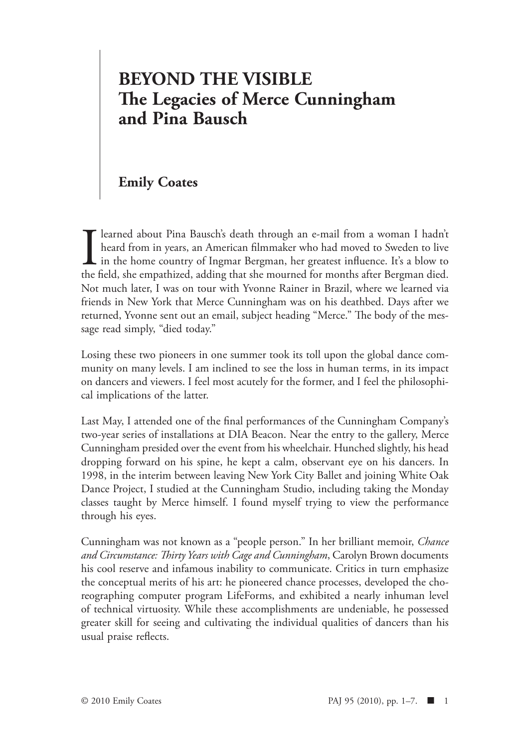## **BEYOND THE VISIBLE The Legacies of Merce Cunningham and Pina Bausch**

## **Emily Coates**

 $\prod_{\text{the }i}$ learned about Pina Bausch's death through an e-mail from a woman I hadn't heard from in years, an American filmmaker who had moved to Sweden to live in the home country of Ingmar Bergman, her greatest influence. It's a blow to the field, she empathized, adding that she mourned for months after Bergman died. Not much later, I was on tour with Yvonne Rainer in Brazil, where we learned via friends in New York that Merce Cunningham was on his deathbed. Days after we returned, Yvonne sent out an email, subject heading "Merce." The body of the message read simply, "died today."

Losing these two pioneers in one summer took its toll upon the global dance community on many levels. I am inclined to see the loss in human terms, in its impact on dancers and viewers. I feel most acutely for the former, and I feel the philosophical implications of the latter.

Last May, I attended one of the final performances of the Cunningham Company's two-year series of installations at DIA Beacon. Near the entry to the gallery, Merce Cunningham presided over the event from his wheelchair. Hunched slightly, his head dropping forward on his spine, he kept a calm, observant eye on his dancers. In 1998, in the interim between leaving New York City Ballet and joining White Oak Dance Project, I studied at the Cunningham Studio, including taking the Monday classes taught by Merce himself. I found myself trying to view the performance through his eyes.

Cunningham was not known as a "people person." In her brilliant memoir, *Chance and Circumstance: Thirty Years with Cage and Cunningham*, Carolyn Brown documents his cool reserve and infamous inability to communicate. Critics in turn emphasize the conceptual merits of his art: he pioneered chance processes, developed the choreographing computer program LifeForms, and exhibited a nearly inhuman level of technical virtuosity. While these accomplishments are undeniable, he possessed greater skill for seeing and cultivating the individual qualities of dancers than his usual praise reflects.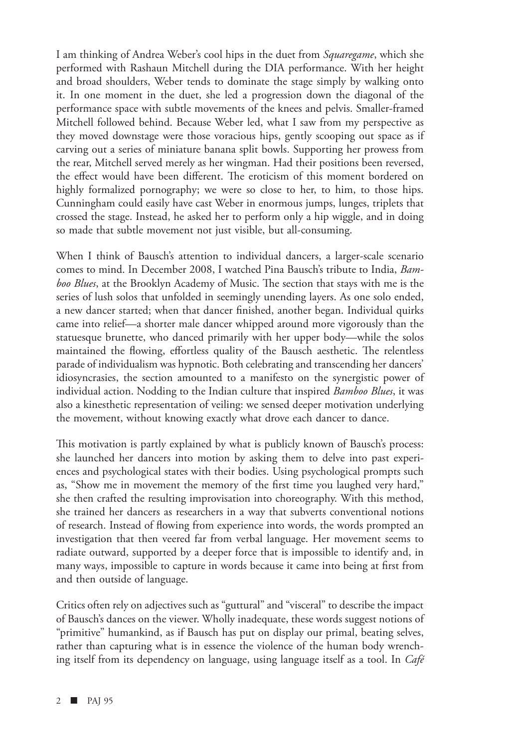I am thinking of Andrea Weber's cool hips in the duet from *Squaregame*, which she performed with Rashaun Mitchell during the DIA performance. With her height and broad shoulders, Weber tends to dominate the stage simply by walking onto it. In one moment in the duet, she led a progression down the diagonal of the performance space with subtle movements of the knees and pelvis. Smaller-framed Mitchell followed behind. Because Weber led, what I saw from my perspective as they moved downstage were those voracious hips, gently scooping out space as if carving out a series of miniature banana split bowls. Supporting her prowess from the rear, Mitchell served merely as her wingman. Had their positions been reversed, the effect would have been different. The eroticism of this moment bordered on highly formalized pornography; we were so close to her, to him, to those hips. Cunningham could easily have cast Weber in enormous jumps, lunges, triplets that crossed the stage. Instead, he asked her to perform only a hip wiggle, and in doing so made that subtle movement not just visible, but all-consuming.

When I think of Bausch's attention to individual dancers, a larger-scale scenario comes to mind. In December 2008, I watched Pina Bausch's tribute to India, *Bamboo Blues*, at the Brooklyn Academy of Music. The section that stays with me is the series of lush solos that unfolded in seemingly unending layers. As one solo ended, a new dancer started; when that dancer finished, another began. Individual quirks came into relief—a shorter male dancer whipped around more vigorously than the statuesque brunette, who danced primarily with her upper body—while the solos maintained the flowing, effortless quality of the Bausch aesthetic. The relentless parade of individualism was hypnotic. Both celebrating and transcending her dancers' idiosyncrasies, the section amounted to a manifesto on the synergistic power of individual action. Nodding to the Indian culture that inspired *Bamboo Blues*, it was also a kinesthetic representation of veiling: we sensed deeper motivation underlying the movement, without knowing exactly what drove each dancer to dance.

This motivation is partly explained by what is publicly known of Bausch's process: she launched her dancers into motion by asking them to delve into past experiences and psychological states with their bodies. Using psychological prompts such as, "Show me in movement the memory of the first time you laughed very hard," she then crafted the resulting improvisation into choreography. With this method, she trained her dancers as researchers in a way that subverts conventional notions of research. Instead of flowing from experience into words, the words prompted an investigation that then veered far from verbal language. Her movement seems to radiate outward, supported by a deeper force that is impossible to identify and, in many ways, impossible to capture in words because it came into being at first from and then outside of language.

Critics often rely on adjectives such as "guttural" and "visceral" to describe the impact of Bausch's dances on the viewer. Wholly inadequate, these words suggest notions of "primitive" humankind, as if Bausch has put on display our primal, beating selves, rather than capturing what is in essence the violence of the human body wrenching itself from its dependency on language, using language itself as a tool. In *Café*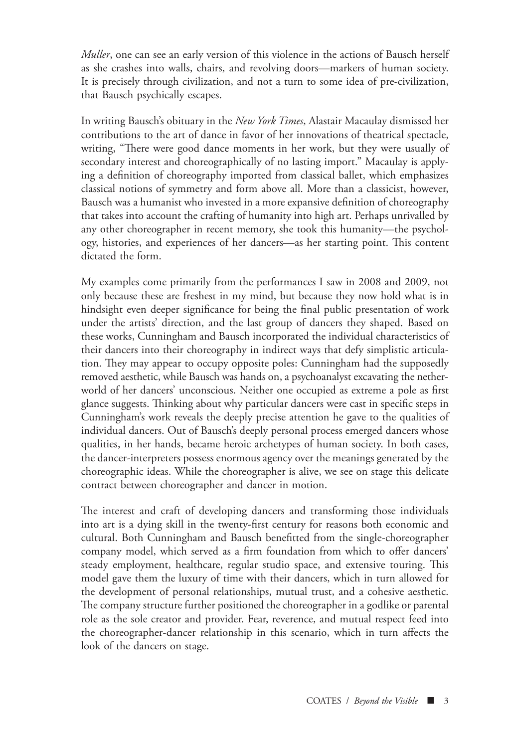*Muller*, one can see an early version of this violence in the actions of Bausch herself as she crashes into walls, chairs, and revolving doors—markers of human society. It is precisely through civilization, and not a turn to some idea of pre-civilization, that Bausch psychically escapes.

In writing Bausch's obituary in the *New York Times*, Alastair Macaulay dismissed her contributions to the art of dance in favor of her innovations of theatrical spectacle, writing, "There were good dance moments in her work, but they were usually of secondary interest and choreographically of no lasting import." Macaulay is applying a definition of choreography imported from classical ballet, which emphasizes classical notions of symmetry and form above all. More than a classicist, however, Bausch was a humanist who invested in a more expansive definition of choreography that takes into account the crafting of humanity into high art. Perhaps unrivalled by any other choreographer in recent memory, she took this humanity—the psychology, histories, and experiences of her dancers—as her starting point. This content dictated the form.

My examples come primarily from the performances I saw in 2008 and 2009, not only because these are freshest in my mind, but because they now hold what is in hindsight even deeper significance for being the final public presentation of work under the artists' direction, and the last group of dancers they shaped. Based on these works, Cunningham and Bausch incorporated the individual characteristics of their dancers into their choreography in indirect ways that defy simplistic articulation. They may appear to occupy opposite poles: Cunningham had the supposedly removed aesthetic, while Bausch was hands on, a psychoanalyst excavating the netherworld of her dancers' unconscious. Neither one occupied as extreme a pole as first glance suggests. Thinking about why particular dancers were cast in specific steps in Cunningham's work reveals the deeply precise attention he gave to the qualities of individual dancers. Out of Bausch's deeply personal process emerged dancers whose qualities, in her hands, became heroic archetypes of human society. In both cases, the dancer-interpreters possess enormous agency over the meanings generated by the choreographic ideas. While the choreographer is alive, we see on stage this delicate contract between choreographer and dancer in motion.

The interest and craft of developing dancers and transforming those individuals into art is a dying skill in the twenty-first century for reasons both economic and cultural. Both Cunningham and Bausch benefitted from the single-choreographer company model, which served as a firm foundation from which to offer dancers' steady employment, healthcare, regular studio space, and extensive touring. This model gave them the luxury of time with their dancers, which in turn allowed for the development of personal relationships, mutual trust, and a cohesive aesthetic. The company structure further positioned the choreographer in a godlike or parental role as the sole creator and provider. Fear, reverence, and mutual respect feed into the choreographer-dancer relationship in this scenario, which in turn affects the look of the dancers on stage.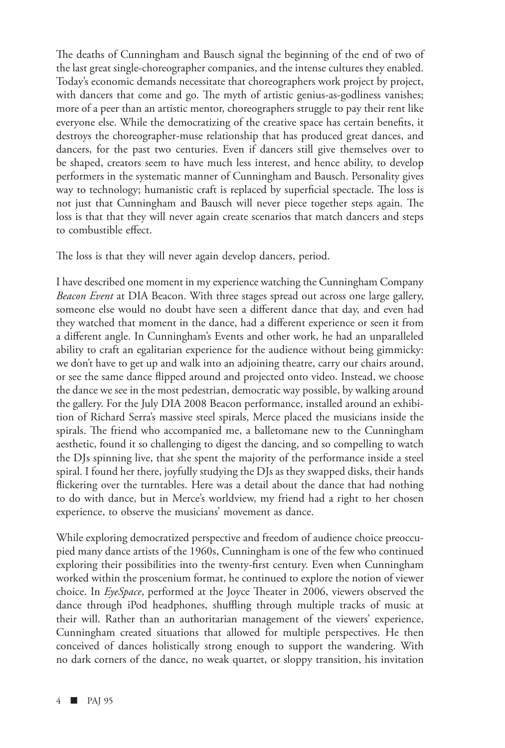The deaths of Cunningham and Bausch signal the beginning of the end of two of the last great single-choreographer companies, and the intense cultures they enabled. Today's economic demands necessitate that choreographers work project by project, with dancers that come and go. The myth of artistic genius-as-godliness vanishes; more of a peer than an artistic mentor, choreographers struggle to pay their rent like everyone else. While the democratizing of the creative space has certain benefits, it destroys the choreographer-muse relationship that has produced great dances, and dancers, for the past two centuries. Even if dancers still give themselves over to be shaped, creators seem to have much less interest, and hence ability, to develop performers in the systematic manner of Cunningham and Bausch. Personality gives way to technology; humanistic craft is replaced by superficial spectacle. The loss is not just that Cunningham and Bausch will never piece together steps again. The loss is that that they will never again create scenarios that match dancers and steps to combustible effect.

The loss is that they will never again develop dancers, period.

I have described one moment in my experience watching the Cunningham Company *Beacon Event* at DIA Beacon. With three stages spread out across one large gallery, someone else would no doubt have seen a different dance that day, and even had they watched that moment in the dance, had a different experience or seen it from a different angle. In Cunningham's Events and other work, he had an unparalleled ability to craft an egalitarian experience for the audience without being gimmicky: we don't have to get up and walk into an adjoining theatre, carry our chairs around, or see the same dance flipped around and projected onto video. Instead, we choose the dance we see in the most pedestrian, democratic way possible, by walking around the gallery. For the July DIA 2008 Beacon performance, installed around an exhibition of Richard Serra's massive steel spirals, Merce placed the musicians inside the spirals. The friend who accompanied me, a balletomane new to the Cunningham aesthetic, found it so challenging to digest the dancing, and so compelling to watch the DJs spinning live, that she spent the majority of the performance inside a steel spiral. I found her there, joyfully studying the DJs as they swapped disks, their hands flickering over the turntables. Here was a detail about the dance that had nothing to do with dance, but in Merce's worldview, my friend had a right to her chosen experience, to observe the musicians' movement as dance.

While exploring democratized perspective and freedom of audience choice preoccupied many dance artists of the 1960s, Cunningham is one of the few who continued exploring their possibilities into the twenty-first century. Even when Cunningham worked within the proscenium format, he continued to explore the notion of viewer choice. In *EyeSpace*, performed at the Joyce Theater in 2006, viewers observed the dance through iPod headphones, shuffling through multiple tracks of music at their will. Rather than an authoritarian management of the viewers' experience, Cunningham created situations that allowed for multiple perspectives. He then conceived of dances holistically strong enough to support the wandering. With no dark corners of the dance, no weak quartet, or sloppy transition, his invitation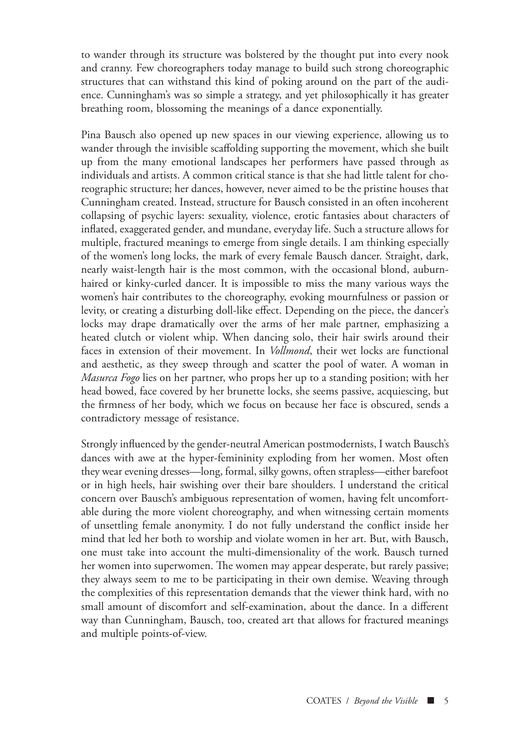to wander through its structure was bolstered by the thought put into every nook and cranny. Few choreographers today manage to build such strong choreographic structures that can withstand this kind of poking around on the part of the audience. Cunningham's was so simple a strategy, and yet philosophically it has greater breathing room, blossoming the meanings of a dance exponentially.

Pina Bausch also opened up new spaces in our viewing experience, allowing us to wander through the invisible scaffolding supporting the movement, which she built up from the many emotional landscapes her performers have passed through as individuals and artists. A common critical stance is that she had little talent for choreographic structure; her dances, however, never aimed to be the pristine houses that Cunningham created. Instead, structure for Bausch consisted in an often incoherent collapsing of psychic layers: sexuality, violence, erotic fantasies about characters of inflated, exaggerated gender, and mundane, everyday life. Such a structure allows for multiple, fractured meanings to emerge from single details. I am thinking especially of the women's long locks, the mark of every female Bausch dancer. Straight, dark, nearly waist-length hair is the most common, with the occasional blond, auburnhaired or kinky-curled dancer. It is impossible to miss the many various ways the women's hair contributes to the choreography, evoking mournfulness or passion or levity, or creating a disturbing doll-like effect. Depending on the piece, the dancer's locks may drape dramatically over the arms of her male partner, emphasizing a heated clutch or violent whip. When dancing solo, their hair swirls around their faces in extension of their movement. In *Vollmond*, their wet locks are functional and aesthetic, as they sweep through and scatter the pool of water. A woman in *Masurca Fogo* lies on her partner, who props her up to a standing position; with her head bowed, face covered by her brunette locks, she seems passive, acquiescing, but the firmness of her body, which we focus on because her face is obscured, sends a contradictory message of resistance.

Strongly influenced by the gender-neutral American postmodernists, I watch Bausch's dances with awe at the hyper-femininity exploding from her women. Most often they wear evening dresses—long, formal, silky gowns, often strapless—either barefoot or in high heels, hair swishing over their bare shoulders. I understand the critical concern over Bausch's ambiguous representation of women, having felt uncomfortable during the more violent choreography, and when witnessing certain moments of unsettling female anonymity. I do not fully understand the conflict inside her mind that led her both to worship and violate women in her art. But, with Bausch, one must take into account the multi-dimensionality of the work. Bausch turned her women into superwomen. The women may appear desperate, but rarely passive; they always seem to me to be participating in their own demise. Weaving through the complexities of this representation demands that the viewer think hard, with no small amount of discomfort and self-examination, about the dance. In a different way than Cunningham, Bausch, too, created art that allows for fractured meanings and multiple points-of-view.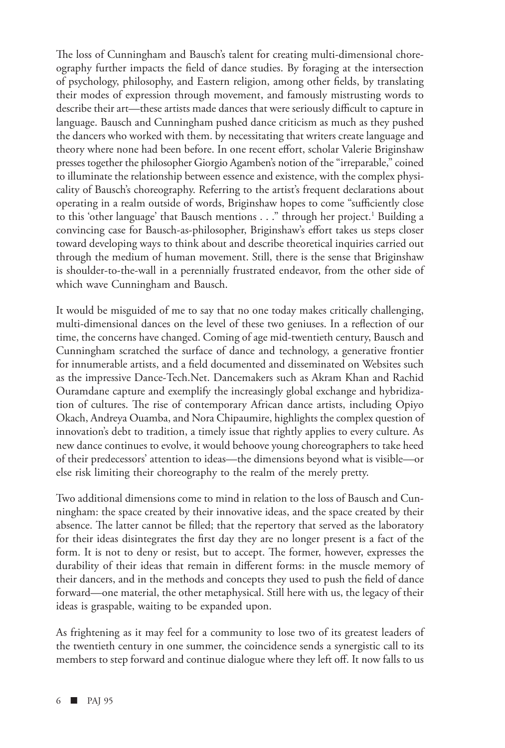The loss of Cunningham and Bausch's talent for creating multi-dimensional choreography further impacts the field of dance studies. By foraging at the intersection of psychology, philosophy, and Eastern religion, among other fields, by translating their modes of expression through movement, and famously mistrusting words to describe their art—these artists made dances that were seriously difficult to capture in language. Bausch and Cunningham pushed dance criticism as much as they pushed the dancers who worked with them. by necessitating that writers create language and theory where none had been before. In one recent effort, scholar Valerie Briginshaw presses together the philosopher Giorgio Agamben's notion of the "irreparable," coined to illuminate the relationship between essence and existence, with the complex physicality of Bausch's choreography. Referring to the artist's frequent declarations about operating in a realm outside of words, Briginshaw hopes to come "sufficiently close to this 'other language' that Bausch mentions . . ." through her project.<sup>1</sup> Building a convincing case for Bausch-as-philosopher, Briginshaw's effort takes us steps closer toward developing ways to think about and describe theoretical inquiries carried out through the medium of human movement. Still, there is the sense that Briginshaw is shoulder-to-the-wall in a perennially frustrated endeavor, from the other side of which wave Cunningham and Bausch.

It would be misguided of me to say that no one today makes critically challenging, multi-dimensional dances on the level of these two geniuses. In a reflection of our time, the concerns have changed. Coming of age mid-twentieth century, Bausch and Cunningham scratched the surface of dance and technology, a generative frontier for innumerable artists, and a field documented and disseminated on Websites such as the impressive Dance-Tech.Net. Dancemakers such as Akram Khan and Rachid Ouramdane capture and exemplify the increasingly global exchange and hybridization of cultures. The rise of contemporary African dance artists, including Opiyo Okach, Andreya Ouamba, and Nora Chipaumire, highlights the complex question of innovation's debt to tradition, a timely issue that rightly applies to every culture. As new dance continues to evolve, it would behoove young choreographers to take heed of their predecessors' attention to ideas—the dimensions beyond what is visible—or else risk limiting their choreography to the realm of the merely pretty.

Two additional dimensions come to mind in relation to the loss of Bausch and Cunningham: the space created by their innovative ideas, and the space created by their absence. The latter cannot be filled; that the repertory that served as the laboratory for their ideas disintegrates the first day they are no longer present is a fact of the form. It is not to deny or resist, but to accept. The former, however, expresses the durability of their ideas that remain in different forms: in the muscle memory of their dancers, and in the methods and concepts they used to push the field of dance forward—one material, the other metaphysical. Still here with us, the legacy of their ideas is graspable, waiting to be expanded upon.

As frightening as it may feel for a community to lose two of its greatest leaders of the twentieth century in one summer, the coincidence sends a synergistic call to its members to step forward and continue dialogue where they left off. It now falls to us